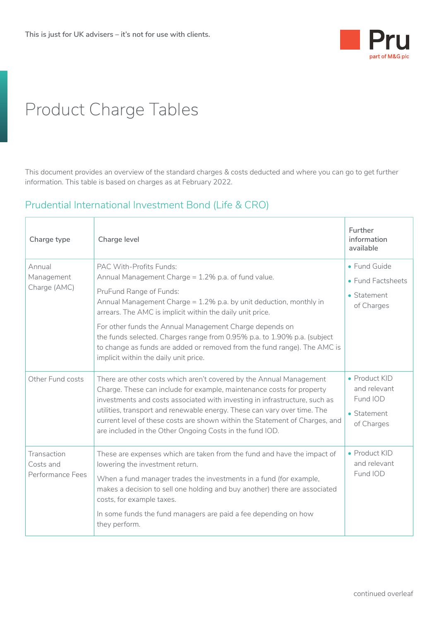

## Product Charge Tables

This document provides an overview of the standard charges & costs deducted and where you can go to get further information. This table is based on charges as at February 2022.

## Prudential International Investment Bond (Life & CRO)

| Charge type                                  | Charge level                                                                                                                                                                                                                                                                                                                                                                                                                                                                                             | Further<br>information<br>available                                            |
|----------------------------------------------|----------------------------------------------------------------------------------------------------------------------------------------------------------------------------------------------------------------------------------------------------------------------------------------------------------------------------------------------------------------------------------------------------------------------------------------------------------------------------------------------------------|--------------------------------------------------------------------------------|
| Annual<br>Management<br>Charge (AMC)         | PAC With-Profits Funds:<br>Annual Management Charge = 1.2% p.a. of fund value.<br>PruFund Range of Funds:<br>Annual Management Charge = 1.2% p.a. by unit deduction, monthly in<br>arrears. The AMC is implicit within the daily unit price.<br>For other funds the Annual Management Charge depends on<br>the funds selected. Charges range from 0.95% p.a. to 1.90% p.a. (subject<br>to change as funds are added or removed from the fund range). The AMC is<br>implicit within the daily unit price. | • Fund Guide<br>• Fund Factsheets<br>$\bullet$ Statement<br>of Charges         |
| Other Fund costs                             | There are other costs which aren't covered by the Annual Management<br>Charge. These can include for example, maintenance costs for property<br>investments and costs associated with investing in infrastructure, such as<br>utilities, transport and renewable energy. These can vary over time. The<br>current level of these costs are shown within the Statement of Charges, and<br>are included in the Other Ongoing Costs in the fund IOD.                                                        | • Product KID<br>and relevant<br>Fund IOD<br>$\bullet$ Statement<br>of Charges |
| Transaction<br>Costs and<br>Performance Fees | These are expenses which are taken from the fund and have the impact of<br>lowering the investment return.<br>When a fund manager trades the investments in a fund (for example,<br>makes a decision to sell one holding and buy another) there are associated<br>costs, for example taxes.<br>In some funds the fund managers are paid a fee depending on how<br>they perform.                                                                                                                          | • Product KID<br>and relevant<br>Fund IOD                                      |